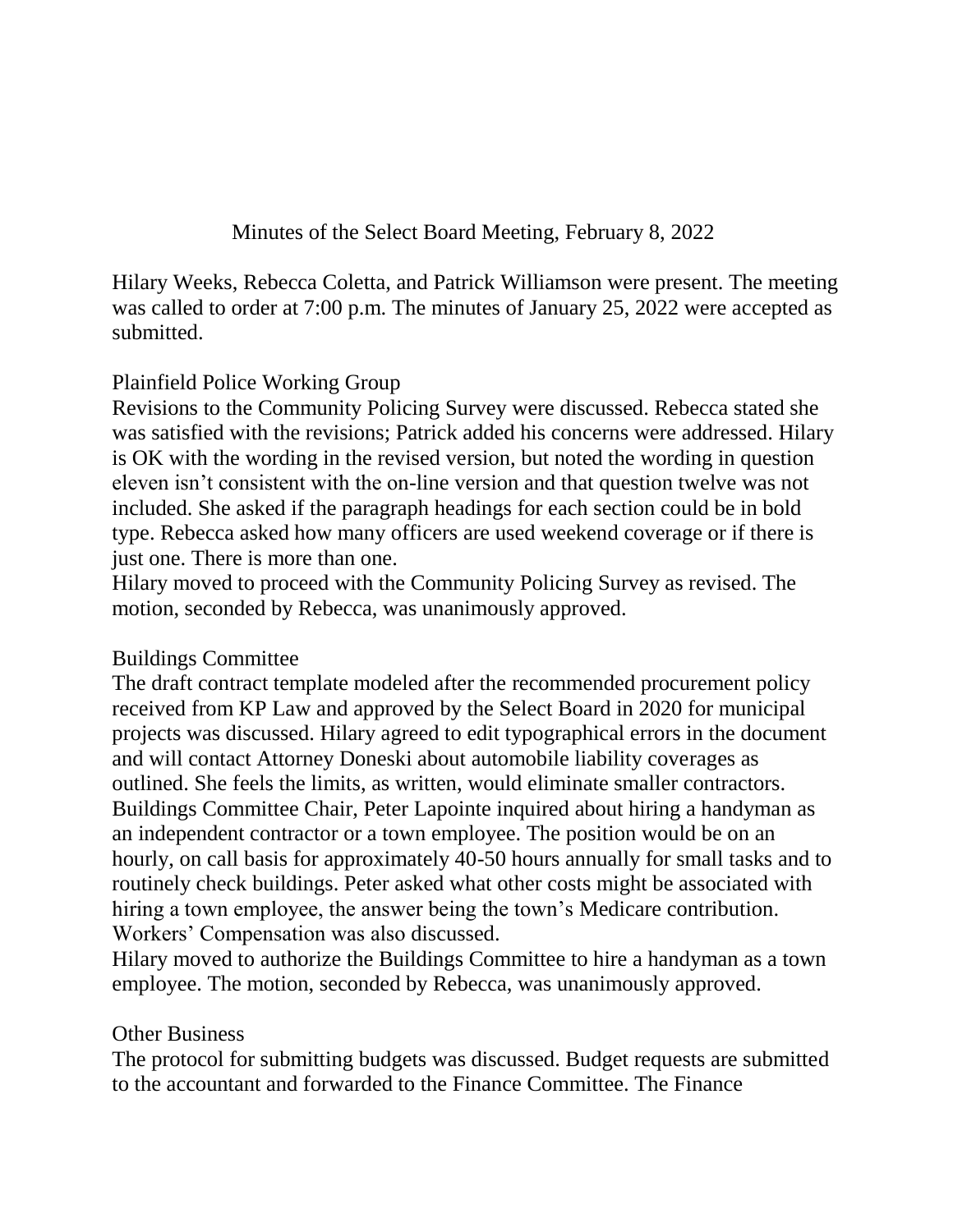Minutes of the Select Board Meeting, February 8, 2022

Hilary Weeks, Rebecca Coletta, and Patrick Williamson were present. The meeting was called to order at 7:00 p.m. The minutes of January 25, 2022 were accepted as submitted.

## Plainfield Police Working Group

Revisions to the Community Policing Survey were discussed. Rebecca stated she was satisfied with the revisions; Patrick added his concerns were addressed. Hilary is OK with the wording in the revised version, but noted the wording in question eleven isn't consistent with the on-line version and that question twelve was not included. She asked if the paragraph headings for each section could be in bold type. Rebecca asked how many officers are used weekend coverage or if there is just one. There is more than one.

Hilary moved to proceed with the Community Policing Survey as revised. The motion, seconded by Rebecca, was unanimously approved.

## Buildings Committee

The draft contract template modeled after the recommended procurement policy received from KP Law and approved by the Select Board in 2020 for municipal projects was discussed. Hilary agreed to edit typographical errors in the document and will contact Attorney Doneski about automobile liability coverages as outlined. She feels the limits, as written, would eliminate smaller contractors. Buildings Committee Chair, Peter Lapointe inquired about hiring a handyman as an independent contractor or a town employee. The position would be on an hourly, on call basis for approximately 40-50 hours annually for small tasks and to routinely check buildings. Peter asked what other costs might be associated with hiring a town employee, the answer being the town's Medicare contribution. Workers' Compensation was also discussed.

Hilary moved to authorize the Buildings Committee to hire a handyman as a town employee. The motion, seconded by Rebecca, was unanimously approved.

## Other Business

The protocol for submitting budgets was discussed. Budget requests are submitted to the accountant and forwarded to the Finance Committee. The Finance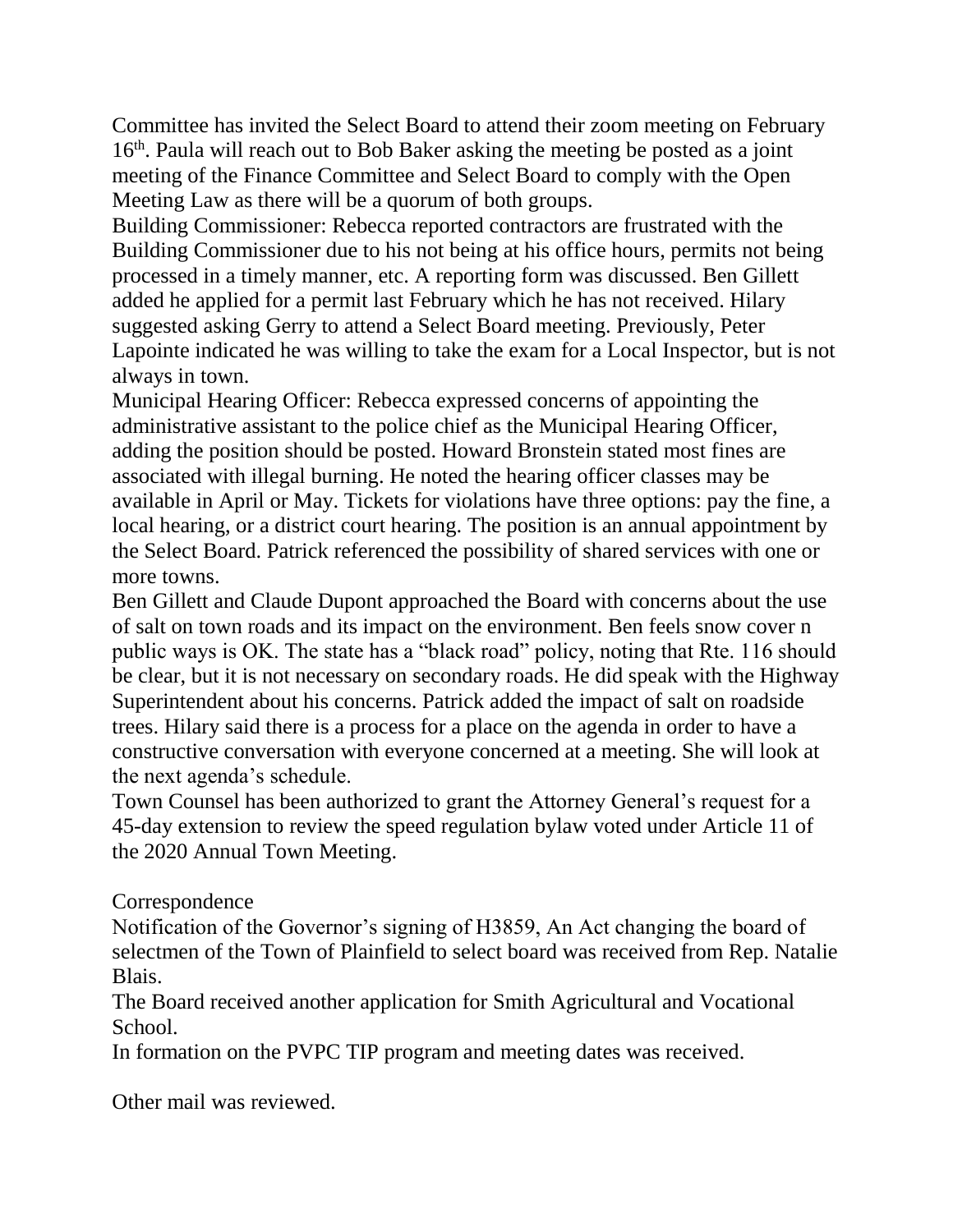Committee has invited the Select Board to attend their zoom meeting on February 16<sup>th</sup>. Paula will reach out to Bob Baker asking the meeting be posted as a joint meeting of the Finance Committee and Select Board to comply with the Open Meeting Law as there will be a quorum of both groups.

Building Commissioner: Rebecca reported contractors are frustrated with the Building Commissioner due to his not being at his office hours, permits not being processed in a timely manner, etc. A reporting form was discussed. Ben Gillett added he applied for a permit last February which he has not received. Hilary suggested asking Gerry to attend a Select Board meeting. Previously, Peter Lapointe indicated he was willing to take the exam for a Local Inspector, but is not always in town.

Municipal Hearing Officer: Rebecca expressed concerns of appointing the administrative assistant to the police chief as the Municipal Hearing Officer, adding the position should be posted. Howard Bronstein stated most fines are associated with illegal burning. He noted the hearing officer classes may be available in April or May. Tickets for violations have three options: pay the fine, a local hearing, or a district court hearing. The position is an annual appointment by the Select Board. Patrick referenced the possibility of shared services with one or more towns.

Ben Gillett and Claude Dupont approached the Board with concerns about the use of salt on town roads and its impact on the environment. Ben feels snow cover n public ways is OK. The state has a "black road" policy, noting that Rte. 116 should be clear, but it is not necessary on secondary roads. He did speak with the Highway Superintendent about his concerns. Patrick added the impact of salt on roadside trees. Hilary said there is a process for a place on the agenda in order to have a constructive conversation with everyone concerned at a meeting. She will look at the next agenda's schedule.

Town Counsel has been authorized to grant the Attorney General's request for a 45-day extension to review the speed regulation bylaw voted under Article 11 of the 2020 Annual Town Meeting.

## Correspondence

Notification of the Governor's signing of H3859, An Act changing the board of selectmen of the Town of Plainfield to select board was received from Rep. Natalie Blais.

The Board received another application for Smith Agricultural and Vocational School.

In formation on the PVPC TIP program and meeting dates was received.

Other mail was reviewed.